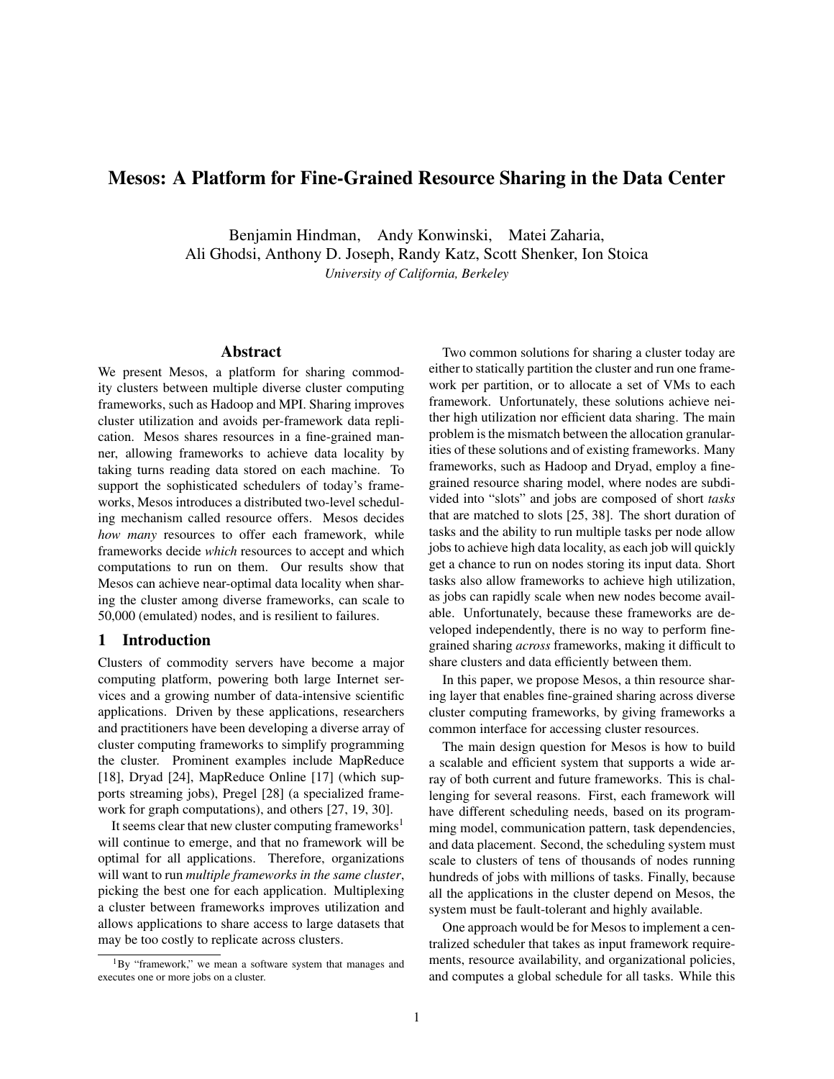# Mesos: A Platform for Fine-Grained Resource Sharing in the Data Center

Benjamin Hindman, Andy Konwinski, Matei Zaharia, Ali Ghodsi, Anthony D. Joseph, Randy Katz, Scott Shenker, Ion Stoica *University of California, Berkeley*

# Abstract

We present Mesos, a platform for sharing commodity clusters between multiple diverse cluster computing frameworks, such as Hadoop and MPI. Sharing improves cluster utilization and avoids per-framework data replication. Mesos shares resources in a fine-grained manner, allowing frameworks to achieve data locality by taking turns reading data stored on each machine. To support the sophisticated schedulers of today's frameworks, Mesos introduces a distributed two-level scheduling mechanism called resource offers. Mesos decides *how many* resources to offer each framework, while frameworks decide *which* resources to accept and which computations to run on them. Our results show that Mesos can achieve near-optimal data locality when sharing the cluster among diverse frameworks, can scale to 50,000 (emulated) nodes, and is resilient to failures.

# 1 Introduction

Clusters of commodity servers have become a major computing platform, powering both large Internet services and a growing number of data-intensive scientific applications. Driven by these applications, researchers and practitioners have been developing a diverse array of cluster computing frameworks to simplify programming the cluster. Prominent examples include MapReduce [18], Dryad [24], MapReduce Online [17] (which supports streaming jobs), Pregel [28] (a specialized framework for graph computations), and others [27, 19, 30].

It seems clear that new cluster computing frameworks<sup>1</sup> will continue to emerge, and that no framework will be optimal for all applications. Therefore, organizations will want to run *multiple frameworks in the same cluster*, picking the best one for each application. Multiplexing a cluster between frameworks improves utilization and allows applications to share access to large datasets that may be too costly to replicate across clusters.

Two common solutions for sharing a cluster today are either to statically partition the cluster and run one framework per partition, or to allocate a set of VMs to each framework. Unfortunately, these solutions achieve neither high utilization nor efficient data sharing. The main problem is the mismatch between the allocation granularities of these solutions and of existing frameworks. Many frameworks, such as Hadoop and Dryad, employ a finegrained resource sharing model, where nodes are subdivided into "slots" and jobs are composed of short *tasks* that are matched to slots [25, 38]. The short duration of tasks and the ability to run multiple tasks per node allow jobs to achieve high data locality, as each job will quickly get a chance to run on nodes storing its input data. Short tasks also allow frameworks to achieve high utilization, as jobs can rapidly scale when new nodes become available. Unfortunately, because these frameworks are developed independently, there is no way to perform finegrained sharing *across* frameworks, making it difficult to share clusters and data efficiently between them.

In this paper, we propose Mesos, a thin resource sharing layer that enables fine-grained sharing across diverse cluster computing frameworks, by giving frameworks a common interface for accessing cluster resources.

The main design question for Mesos is how to build a scalable and efficient system that supports a wide array of both current and future frameworks. This is challenging for several reasons. First, each framework will have different scheduling needs, based on its programming model, communication pattern, task dependencies, and data placement. Second, the scheduling system must scale to clusters of tens of thousands of nodes running hundreds of jobs with millions of tasks. Finally, because all the applications in the cluster depend on Mesos, the system must be fault-tolerant and highly available.

One approach would be for Mesos to implement a centralized scheduler that takes as input framework requirements, resource availability, and organizational policies, and computes a global schedule for all tasks. While this

<sup>1</sup>By "framework," we mean a software system that manages and executes one or more jobs on a cluster.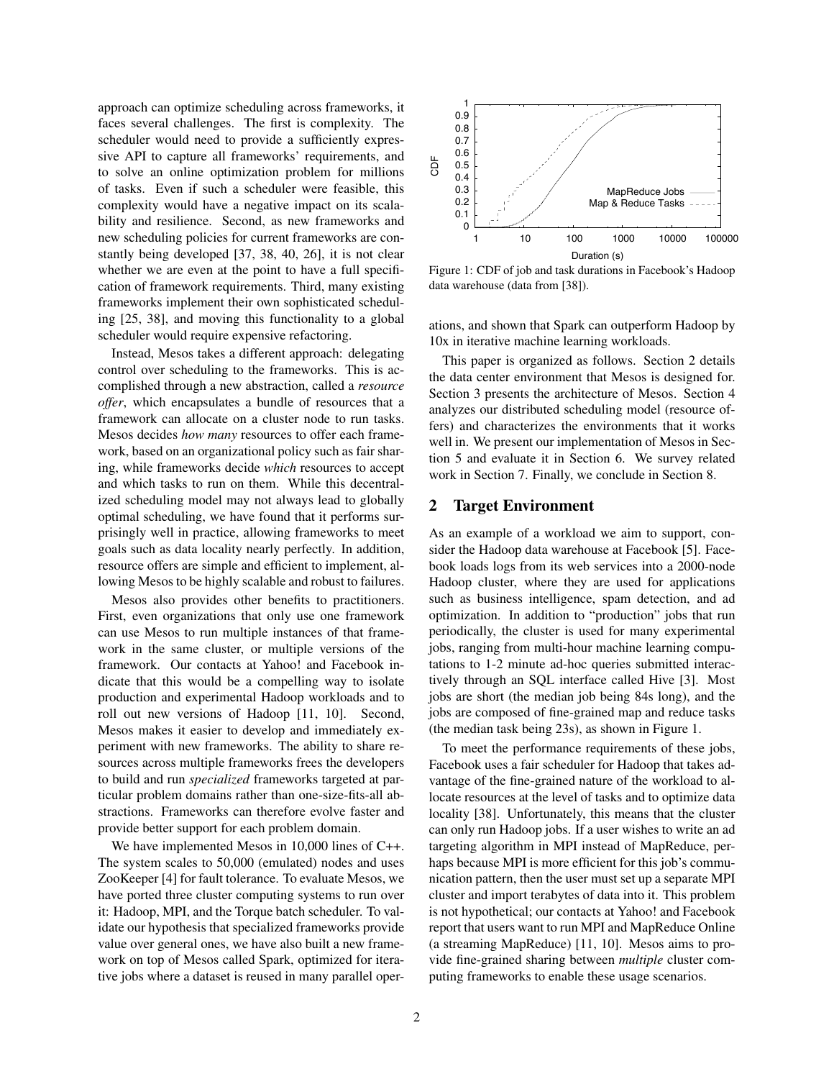approach can optimize scheduling across frameworks, it faces several challenges. The first is complexity. The scheduler would need to provide a sufficiently expressive API to capture all frameworks' requirements, and to solve an online optimization problem for millions of tasks. Even if such a scheduler were feasible, this complexity would have a negative impact on its scalability and resilience. Second, as new frameworks and new scheduling policies for current frameworks are constantly being developed [37, 38, 40, 26], it is not clear whether we are even at the point to have a full specification of framework requirements. Third, many existing frameworks implement their own sophisticated scheduling [25, 38], and moving this functionality to a global scheduler would require expensive refactoring.

Instead, Mesos takes a different approach: delegating control over scheduling to the frameworks. This is accomplished through a new abstraction, called a *resource offer*, which encapsulates a bundle of resources that a framework can allocate on a cluster node to run tasks. Mesos decides *how many* resources to offer each framework, based on an organizational policy such as fair sharing, while frameworks decide *which* resources to accept and which tasks to run on them. While this decentralized scheduling model may not always lead to globally optimal scheduling, we have found that it performs surprisingly well in practice, allowing frameworks to meet goals such as data locality nearly perfectly. In addition, resource offers are simple and efficient to implement, allowing Mesos to be highly scalable and robust to failures.

Mesos also provides other benefits to practitioners. First, even organizations that only use one framework can use Mesos to run multiple instances of that framework in the same cluster, or multiple versions of the framework. Our contacts at Yahoo! and Facebook indicate that this would be a compelling way to isolate production and experimental Hadoop workloads and to roll out new versions of Hadoop [11, 10]. Second, Mesos makes it easier to develop and immediately experiment with new frameworks. The ability to share resources across multiple frameworks frees the developers to build and run *specialized* frameworks targeted at particular problem domains rather than one-size-fits-all abstractions. Frameworks can therefore evolve faster and provide better support for each problem domain.

We have implemented Mesos in 10,000 lines of C++. The system scales to 50,000 (emulated) nodes and uses ZooKeeper [4] for fault tolerance. To evaluate Mesos, we have ported three cluster computing systems to run over it: Hadoop, MPI, and the Torque batch scheduler. To validate our hypothesis that specialized frameworks provide value over general ones, we have also built a new framework on top of Mesos called Spark, optimized for iterative jobs where a dataset is reused in many parallel oper-



Figure 1: CDF of job and task durations in Facebook's Hadoop data warehouse (data from [38]).

ations, and shown that Spark can outperform Hadoop by 10x in iterative machine learning workloads.

This paper is organized as follows. Section 2 details the data center environment that Mesos is designed for. Section 3 presents the architecture of Mesos. Section 4 analyzes our distributed scheduling model (resource offers) and characterizes the environments that it works well in. We present our implementation of Mesos in Section 5 and evaluate it in Section 6. We survey related work in Section 7. Finally, we conclude in Section 8.

# 2 Target Environment

As an example of a workload we aim to support, consider the Hadoop data warehouse at Facebook [5]. Facebook loads logs from its web services into a 2000-node Hadoop cluster, where they are used for applications such as business intelligence, spam detection, and ad optimization. In addition to "production" jobs that run periodically, the cluster is used for many experimental jobs, ranging from multi-hour machine learning computations to 1-2 minute ad-hoc queries submitted interactively through an SQL interface called Hive [3]. Most jobs are short (the median job being 84s long), and the jobs are composed of fine-grained map and reduce tasks (the median task being 23s), as shown in Figure 1.

To meet the performance requirements of these jobs, Facebook uses a fair scheduler for Hadoop that takes advantage of the fine-grained nature of the workload to allocate resources at the level of tasks and to optimize data locality [38]. Unfortunately, this means that the cluster can only run Hadoop jobs. If a user wishes to write an ad targeting algorithm in MPI instead of MapReduce, perhaps because MPI is more efficient for this job's communication pattern, then the user must set up a separate MPI cluster and import terabytes of data into it. This problem is not hypothetical; our contacts at Yahoo! and Facebook report that users want to run MPI and MapReduce Online (a streaming MapReduce) [11, 10]. Mesos aims to provide fine-grained sharing between *multiple* cluster computing frameworks to enable these usage scenarios.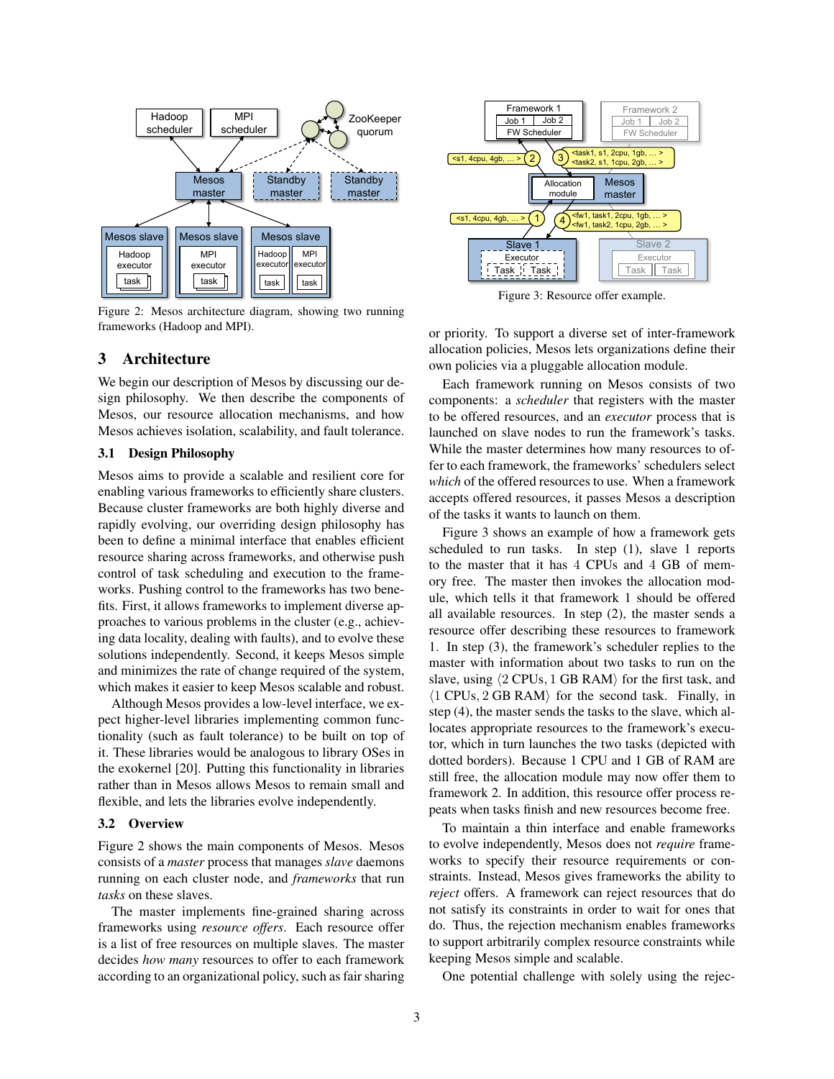

Figure 2: Mesos architecture diagram, showing two running frameworks (Hadoop and MPI).

# 3 Architecture

We begin our description of Mesos by discussing our design philosophy. We then describe the components of Mesos, our resource allocation mechanisms, and how Mesos achieves isolation, scalability, and fault tolerance.

# 3.1 Design Philosophy

Mesos aims to provide a scalable and resilient core for enabling various frameworks to efficiently share clusters. Because cluster frameworks are both highly diverse and rapidly evolving, our overriding design philosophy has been to define a minimal interface that enables efficient resource sharing across frameworks, and otherwise push control of task scheduling and execution to the frameworks. Pushing control to the frameworks has two benefits. First, it allows frameworks to implement diverse approaches to various problems in the cluster (e.g., achieving data locality, dealing with faults), and to evolve these solutions independently. Second, it keeps Mesos simple and minimizes the rate of change required of the system, which makes it easier to keep Mesos scalable and robust.

Although Mesos provides a low-level interface, we expect higher-level libraries implementing common functionality (such as fault tolerance) to be built on top of it. These libraries would be analogous to library OSes in the exokernel [20]. Putting this functionality in libraries rather than in Mesos allows Mesos to remain small and flexible, and lets the libraries evolve independently.

### 3.2 Overview

Figure 2 shows the main components of Mesos. Mesos consists of a *master* process that manages *slave* daemons running on each cluster node, and *frameworks* that run *tasks* on these slaves.

The master implements fine-grained sharing across frameworks using *resource offers*. Each resource offer is a list of free resources on multiple slaves. The master decides *how many* resources to offer to each framework according to an organizational policy, such as fair sharing



Figure 3: Resource offer example.

or priority. To support a diverse set of inter-framework allocation policies, Mesos lets organizations define their own policies via a pluggable allocation module.

Each framework running on Mesos consists of two components: a *scheduler* that registers with the master to be offered resources, and an *executor* process that is launched on slave nodes to run the framework's tasks. While the master determines how many resources to offer to each framework, the frameworks' schedulers select *which* of the offered resources to use. When a framework accepts offered resources, it passes Mesos a description of the tasks it wants to launch on them.

Figure 3 shows an example of how a framework gets scheduled to run tasks. In step (1), slave 1 reports to the master that it has 4 CPUs and 4 GB of memory free. The master then invokes the allocation module, which tells it that framework 1 should be offered all available resources. In step (2), the master sends a resource offer describing these resources to framework 1. In step (3), the framework's scheduler replies to the master with information about two tasks to run on the slave, using  $\langle 2 \text{ CPUs}, 1 \text{ GB RAM} \rangle$  for the first task, and  $\langle 1 \text{ CPUs}, 2 \text{ GB RAM} \rangle$  for the second task. Finally, in step (4), the master sends the tasks to the slave, which allocates appropriate resources to the framework's executor, which in turn launches the two tasks (depicted with dotted borders). Because 1 CPU and 1 GB of RAM are still free, the allocation module may now offer them to framework 2. In addition, this resource offer process repeats when tasks finish and new resources become free.

To maintain a thin interface and enable frameworks to evolve independently, Mesos does not *require* frameworks to specify their resource requirements or constraints. Instead, Mesos gives frameworks the ability to *reject* offers. A framework can reject resources that do not satisfy its constraints in order to wait for ones that do. Thus, the rejection mechanism enables frameworks to support arbitrarily complex resource constraints while keeping Mesos simple and scalable.

One potential challenge with solely using the rejec-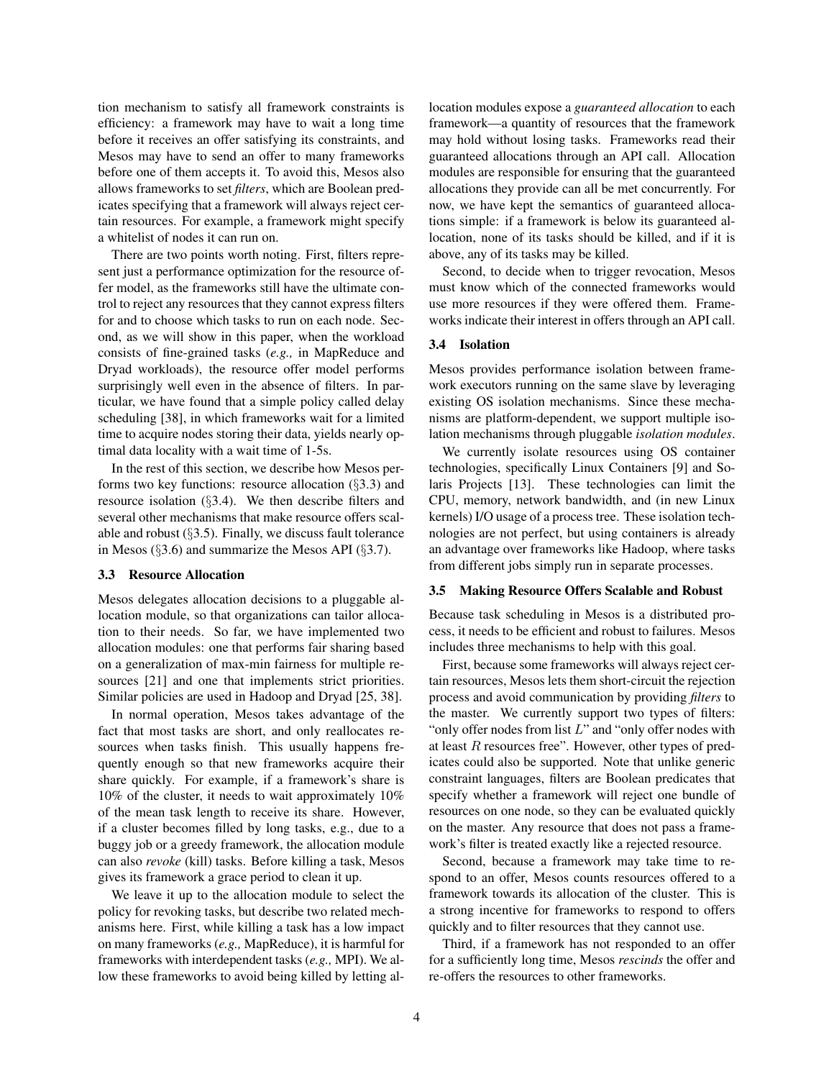tion mechanism to satisfy all framework constraints is efficiency: a framework may have to wait a long time before it receives an offer satisfying its constraints, and Mesos may have to send an offer to many frameworks before one of them accepts it. To avoid this, Mesos also allows frameworks to set *filters*, which are Boolean predicates specifying that a framework will always reject certain resources. For example, a framework might specify a whitelist of nodes it can run on.

There are two points worth noting. First, filters represent just a performance optimization for the resource offer model, as the frameworks still have the ultimate control to reject any resources that they cannot express filters for and to choose which tasks to run on each node. Second, as we will show in this paper, when the workload consists of fine-grained tasks (*e.g.,* in MapReduce and Dryad workloads), the resource offer model performs surprisingly well even in the absence of filters. In particular, we have found that a simple policy called delay scheduling [38], in which frameworks wait for a limited time to acquire nodes storing their data, yields nearly optimal data locality with a wait time of 1-5s.

In the rest of this section, we describe how Mesos performs two key functions: resource allocation  $(\S3.3)$  and resource isolation (§3.4). We then describe filters and several other mechanisms that make resource offers scalable and robust (§3.5). Finally, we discuss fault tolerance in Mesos (§3.6) and summarize the Mesos API (§3.7).

## 3.3 Resource Allocation

Mesos delegates allocation decisions to a pluggable allocation module, so that organizations can tailor allocation to their needs. So far, we have implemented two allocation modules: one that performs fair sharing based on a generalization of max-min fairness for multiple resources [21] and one that implements strict priorities. Similar policies are used in Hadoop and Dryad [25, 38].

In normal operation, Mesos takes advantage of the fact that most tasks are short, and only reallocates resources when tasks finish. This usually happens frequently enough so that new frameworks acquire their share quickly. For example, if a framework's share is 10% of the cluster, it needs to wait approximately 10% of the mean task length to receive its share. However, if a cluster becomes filled by long tasks, e.g., due to a buggy job or a greedy framework, the allocation module can also *revoke* (kill) tasks. Before killing a task, Mesos gives its framework a grace period to clean it up.

We leave it up to the allocation module to select the policy for revoking tasks, but describe two related mechanisms here. First, while killing a task has a low impact on many frameworks (*e.g.,* MapReduce), it is harmful for frameworks with interdependent tasks (*e.g.,* MPI). We allow these frameworks to avoid being killed by letting allocation modules expose a *guaranteed allocation* to each framework—a quantity of resources that the framework may hold without losing tasks. Frameworks read their guaranteed allocations through an API call. Allocation modules are responsible for ensuring that the guaranteed allocations they provide can all be met concurrently. For now, we have kept the semantics of guaranteed allocations simple: if a framework is below its guaranteed allocation, none of its tasks should be killed, and if it is above, any of its tasks may be killed.

Second, to decide when to trigger revocation, Mesos must know which of the connected frameworks would use more resources if they were offered them. Frameworks indicate their interest in offers through an API call.

# 3.4 Isolation

Mesos provides performance isolation between framework executors running on the same slave by leveraging existing OS isolation mechanisms. Since these mechanisms are platform-dependent, we support multiple isolation mechanisms through pluggable *isolation modules*.

We currently isolate resources using OS container technologies, specifically Linux Containers [9] and Solaris Projects [13]. These technologies can limit the CPU, memory, network bandwidth, and (in new Linux kernels) I/O usage of a process tree. These isolation technologies are not perfect, but using containers is already an advantage over frameworks like Hadoop, where tasks from different jobs simply run in separate processes.

# 3.5 Making Resource Offers Scalable and Robust

Because task scheduling in Mesos is a distributed process, it needs to be efficient and robust to failures. Mesos includes three mechanisms to help with this goal.

First, because some frameworks will always reject certain resources, Mesos lets them short-circuit the rejection process and avoid communication by providing *filters* to the master. We currently support two types of filters: "only offer nodes from list  $L$ " and "only offer nodes with at least  $R$  resources free". However, other types of predicates could also be supported. Note that unlike generic constraint languages, filters are Boolean predicates that specify whether a framework will reject one bundle of resources on one node, so they can be evaluated quickly on the master. Any resource that does not pass a framework's filter is treated exactly like a rejected resource.

Second, because a framework may take time to respond to an offer, Mesos counts resources offered to a framework towards its allocation of the cluster. This is a strong incentive for frameworks to respond to offers quickly and to filter resources that they cannot use.

Third, if a framework has not responded to an offer for a sufficiently long time, Mesos *rescinds* the offer and re-offers the resources to other frameworks.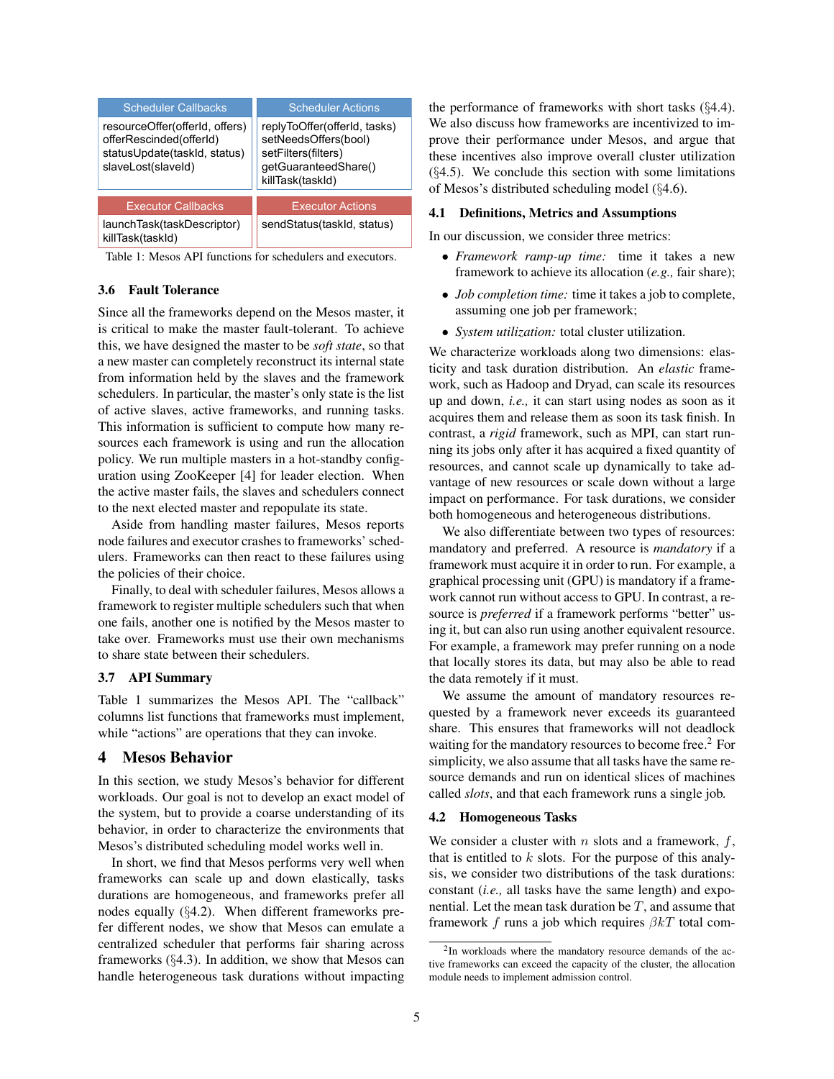| <b>Scheduler Callbacks</b>                                                                                      | <b>Scheduler Actions</b>                                                                                                |  |
|-----------------------------------------------------------------------------------------------------------------|-------------------------------------------------------------------------------------------------------------------------|--|
| resourceOffer(offerId, offers)<br>offerRescinded(offerId)<br>statusUpdate(taskId, status)<br>slaveLost(slaveId) | replyToOffer(offerId, tasks)<br>setNeedsOffers(bool)<br>setFilters(filters)<br>getGuaranteedShare()<br>killTask(taskId) |  |
| <b>Executor Callbacks</b>                                                                                       | <b>Executor Actions</b>                                                                                                 |  |
| launchTask(taskDescriptor)<br>killTask(taskId)                                                                  | sendStatus(taskId, status)                                                                                              |  |

Table 1: Mesos API functions for schedulers and executors.

# 3.6 Fault Tolerance

Since all the frameworks depend on the Mesos master, it is critical to make the master fault-tolerant. To achieve this, we have designed the master to be *soft state*, so that a new master can completely reconstruct its internal state from information held by the slaves and the framework schedulers. In particular, the master's only state is the list of active slaves, active frameworks, and running tasks. This information is sufficient to compute how many resources each framework is using and run the allocation policy. We run multiple masters in a hot-standby configuration using ZooKeeper [4] for leader election. When the active master fails, the slaves and schedulers connect to the next elected master and repopulate its state.

Aside from handling master failures, Mesos reports node failures and executor crashes to frameworks' schedulers. Frameworks can then react to these failures using the policies of their choice.

Finally, to deal with scheduler failures, Mesos allows a framework to register multiple schedulers such that when one fails, another one is notified by the Mesos master to take over. Frameworks must use their own mechanisms to share state between their schedulers.

## 3.7 API Summary

Table 1 summarizes the Mesos API. The "callback" columns list functions that frameworks must implement, while "actions" are operations that they can invoke.

# 4 Mesos Behavior

In this section, we study Mesos's behavior for different workloads. Our goal is not to develop an exact model of the system, but to provide a coarse understanding of its behavior, in order to characterize the environments that Mesos's distributed scheduling model works well in.

In short, we find that Mesos performs very well when frameworks can scale up and down elastically, tasks durations are homogeneous, and frameworks prefer all nodes equally (§4.2). When different frameworks prefer different nodes, we show that Mesos can emulate a centralized scheduler that performs fair sharing across frameworks (§4.3). In addition, we show that Mesos can handle heterogeneous task durations without impacting the performance of frameworks with short tasks (§4.4). We also discuss how frameworks are incentivized to improve their performance under Mesos, and argue that these incentives also improve overall cluster utilization  $(\S4.5)$ . We conclude this section with some limitations of Mesos's distributed scheduling model (§4.6).

## 4.1 Definitions, Metrics and Assumptions

In our discussion, we consider three metrics:

- *Framework ramp-up time:* time it takes a new framework to achieve its allocation (*e.g.,* fair share);
- *Job completion time:* time it takes a job to complete, assuming one job per framework;
- *System utilization:* total cluster utilization.

We characterize workloads along two dimensions: elasticity and task duration distribution. An *elastic* framework, such as Hadoop and Dryad, can scale its resources up and down, *i.e.,* it can start using nodes as soon as it acquires them and release them as soon its task finish. In contrast, a *rigid* framework, such as MPI, can start running its jobs only after it has acquired a fixed quantity of resources, and cannot scale up dynamically to take advantage of new resources or scale down without a large impact on performance. For task durations, we consider both homogeneous and heterogeneous distributions.

We also differentiate between two types of resources: mandatory and preferred. A resource is *mandatory* if a framework must acquire it in order to run. For example, a graphical processing unit (GPU) is mandatory if a framework cannot run without access to GPU. In contrast, a resource is *preferred* if a framework performs "better" using it, but can also run using another equivalent resource. For example, a framework may prefer running on a node that locally stores its data, but may also be able to read the data remotely if it must.

We assume the amount of mandatory resources requested by a framework never exceeds its guaranteed share. This ensures that frameworks will not deadlock waiting for the mandatory resources to become free.<sup>2</sup> For simplicity, we also assume that all tasks have the same resource demands and run on identical slices of machines called *slots*, and that each framework runs a single job.

#### 4.2 Homogeneous Tasks

We consider a cluster with n slots and a framework,  $f$ , that is entitled to  $k$  slots. For the purpose of this analysis, we consider two distributions of the task durations: constant (*i.e.,* all tasks have the same length) and exponential. Let the mean task duration be  $T$ , and assume that framework f runs a job which requires  $\beta kT$  total com-

<sup>&</sup>lt;sup>2</sup>In workloads where the mandatory resource demands of the active frameworks can exceed the capacity of the cluster, the allocation module needs to implement admission control.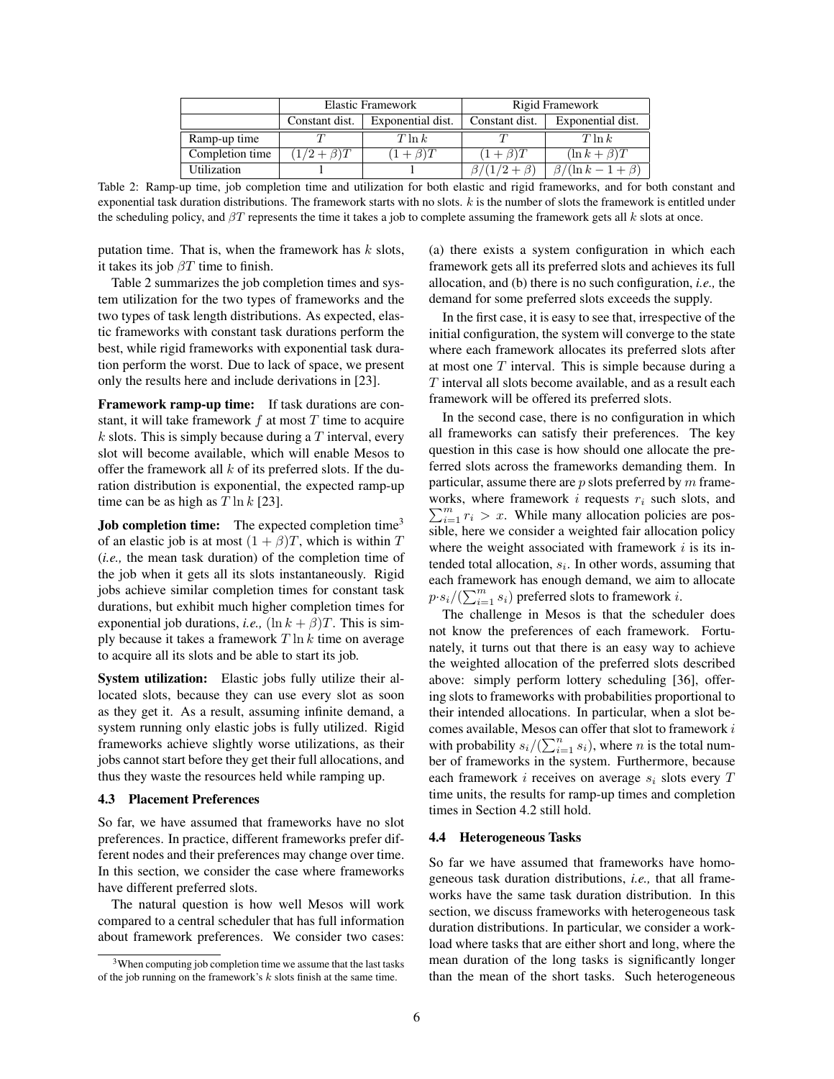|                 | <b>Elastic Framework</b> |                   | Rigid Framework     |                             |
|-----------------|--------------------------|-------------------|---------------------|-----------------------------|
|                 | Constant dist.           | Exponential dist. | Constant dist.      | Exponential dist.           |
| Ramp-up time    |                          | $T \ln k$         |                     | $T \ln k$                   |
| Completion time | $(1/2+\beta)T$           | $(1+\beta)T$      | $(1+\beta)T$        | $(\ln k + \beta)T$          |
| Utilization     |                          |                   | $\beta/(1/2+\beta)$ | $\beta/(\ln k - 1 + \beta)$ |

Table 2: Ramp-up time, job completion time and utilization for both elastic and rigid frameworks, and for both constant and exponential task duration distributions. The framework starts with no slots.  $k$  is the number of slots the framework is entitled under the scheduling policy, and  $\beta T$  represents the time it takes a job to complete assuming the framework gets all k slots at once.

putation time. That is, when the framework has  $k$  slots, it takes its job  $\beta T$  time to finish.

Table 2 summarizes the job completion times and system utilization for the two types of frameworks and the two types of task length distributions. As expected, elastic frameworks with constant task durations perform the best, while rigid frameworks with exponential task duration perform the worst. Due to lack of space, we present only the results here and include derivations in [23].

Framework ramp-up time: If task durations are constant, it will take framework  $f$  at most  $T$  time to acquire  $k$  slots. This is simply because during a T interval, every slot will become available, which will enable Mesos to offer the framework all  $k$  of its preferred slots. If the duration distribution is exponential, the expected ramp-up time can be as high as  $T \ln k$  [23].

**Job completion time:** The expected completion time<sup>3</sup> of an elastic job is at most  $(1 + \beta)T$ , which is within T (*i.e.,* the mean task duration) of the completion time of the job when it gets all its slots instantaneously. Rigid jobs achieve similar completion times for constant task durations, but exhibit much higher completion times for exponential job durations, *i.e.*,  $(\ln k + \beta)T$ . This is simply because it takes a framework  $T \ln k$  time on average to acquire all its slots and be able to start its job.

System utilization: Elastic jobs fully utilize their allocated slots, because they can use every slot as soon as they get it. As a result, assuming infinite demand, a system running only elastic jobs is fully utilized. Rigid frameworks achieve slightly worse utilizations, as their jobs cannot start before they get their full allocations, and thus they waste the resources held while ramping up.

### 4.3 Placement Preferences

So far, we have assumed that frameworks have no slot preferences. In practice, different frameworks prefer different nodes and their preferences may change over time. In this section, we consider the case where frameworks have different preferred slots.

The natural question is how well Mesos will work compared to a central scheduler that has full information about framework preferences. We consider two cases: (a) there exists a system configuration in which each framework gets all its preferred slots and achieves its full allocation, and (b) there is no such configuration, *i.e.,* the demand for some preferred slots exceeds the supply.

In the first case, it is easy to see that, irrespective of the initial configuration, the system will converge to the state where each framework allocates its preferred slots after at most one  $T$  interval. This is simple because during a T interval all slots become available, and as a result each framework will be offered its preferred slots.

In the second case, there is no configuration in which all frameworks can satisfy their preferences. The key question in this case is how should one allocate the preferred slots across the frameworks demanding them. In particular, assume there are  $p$  slots preferred by  $m$  frameworks, where framework  $i$  requests  $r_i$  such slots, and  $\sum_{i=1}^{m} r_i > x$ . While many allocation policies are possible, here we consider a weighted fair allocation policy where the weight associated with framework  $i$  is its intended total allocation,  $s_i$ . In other words, assuming that each framework has enough demand, we aim to allocate  $p \cdot s_i / (\sum_{i=1}^m s_i)$  preferred slots to framework *i*.

The challenge in Mesos is that the scheduler does not know the preferences of each framework. Fortunately, it turns out that there is an easy way to achieve the weighted allocation of the preferred slots described above: simply perform lottery scheduling [36], offering slots to frameworks with probabilities proportional to their intended allocations. In particular, when a slot becomes available, Mesos can offer that slot to framework i with probability  $s_i/(\sum_{i=1}^n s_i)$ , where *n* is the total number of frameworks in the system. Furthermore, because each framework  $i$  receives on average  $s_i$  slots every  $T$ time units, the results for ramp-up times and completion times in Section 4.2 still hold.

### 4.4 Heterogeneous Tasks

So far we have assumed that frameworks have homogeneous task duration distributions, *i.e.,* that all frameworks have the same task duration distribution. In this section, we discuss frameworks with heterogeneous task duration distributions. In particular, we consider a workload where tasks that are either short and long, where the mean duration of the long tasks is significantly longer than the mean of the short tasks. Such heterogeneous

 $3$ When computing job completion time we assume that the last tasks of the job running on the framework's  $k$  slots finish at the same time.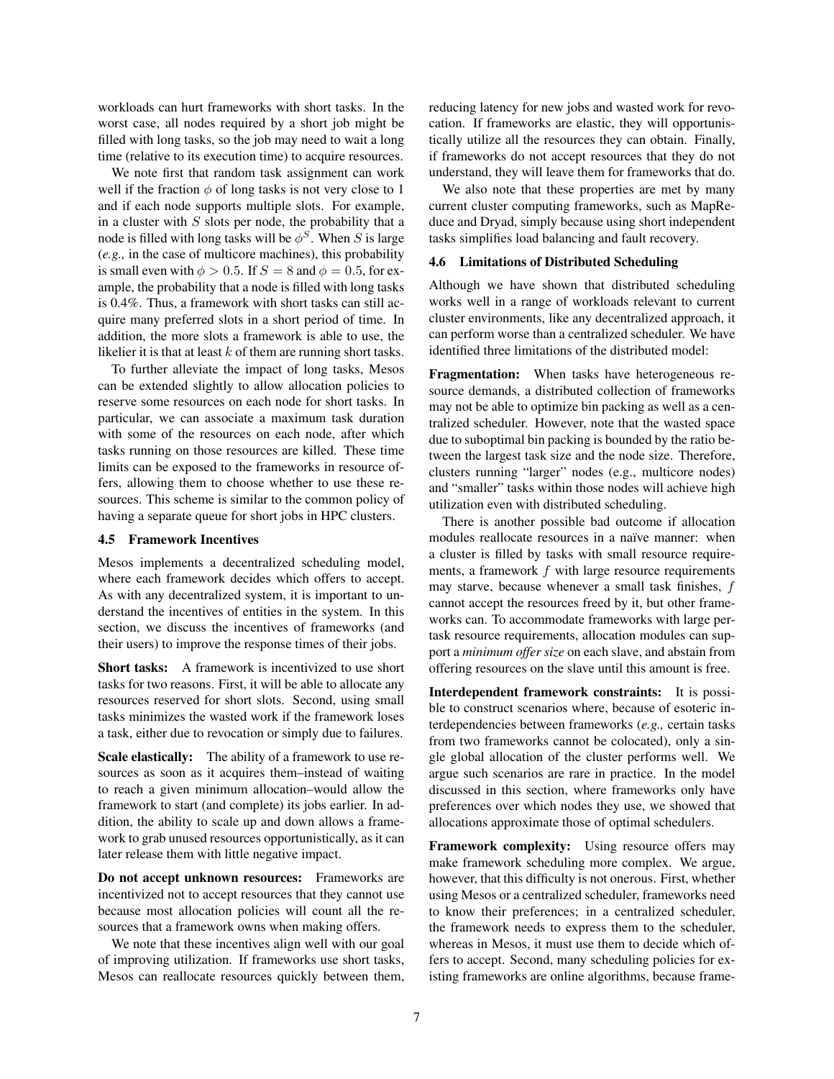workloads can hurt frameworks with short tasks. In the worst case, all nodes required by a short job might be filled with long tasks, so the job may need to wait a long time (relative to its execution time) to acquire resources.

We note first that random task assignment can work well if the fraction  $\phi$  of long tasks is not very close to 1 and if each node supports multiple slots. For example, in a cluster with  $S$  slots per node, the probability that a node is filled with long tasks will be  $\phi^S$ . When S is large (*e.g.,* in the case of multicore machines), this probability is small even with  $\phi > 0.5$ . If  $S = 8$  and  $\phi = 0.5$ , for example, the probability that a node is filled with long tasks is 0.4%. Thus, a framework with short tasks can still acquire many preferred slots in a short period of time. In addition, the more slots a framework is able to use, the likelier it is that at least  $k$  of them are running short tasks.

To further alleviate the impact of long tasks, Mesos can be extended slightly to allow allocation policies to reserve some resources on each node for short tasks. In particular, we can associate a maximum task duration with some of the resources on each node, after which tasks running on those resources are killed. These time limits can be exposed to the frameworks in resource offers, allowing them to choose whether to use these resources. This scheme is similar to the common policy of having a separate queue for short jobs in HPC clusters.

### 4.5 Framework Incentives

Mesos implements a decentralized scheduling model, where each framework decides which offers to accept. As with any decentralized system, it is important to understand the incentives of entities in the system. In this section, we discuss the incentives of frameworks (and their users) to improve the response times of their jobs.

Short tasks: A framework is incentivized to use short tasks for two reasons. First, it will be able to allocate any resources reserved for short slots. Second, using small tasks minimizes the wasted work if the framework loses a task, either due to revocation or simply due to failures.

Scale elastically: The ability of a framework to use resources as soon as it acquires them–instead of waiting to reach a given minimum allocation–would allow the framework to start (and complete) its jobs earlier. In addition, the ability to scale up and down allows a framework to grab unused resources opportunistically, as it can later release them with little negative impact.

Do not accept unknown resources: Frameworks are incentivized not to accept resources that they cannot use because most allocation policies will count all the resources that a framework owns when making offers.

We note that these incentives align well with our goal of improving utilization. If frameworks use short tasks, Mesos can reallocate resources quickly between them, reducing latency for new jobs and wasted work for revocation. If frameworks are elastic, they will opportunistically utilize all the resources they can obtain. Finally, if frameworks do not accept resources that they do not understand, they will leave them for frameworks that do.

We also note that these properties are met by many current cluster computing frameworks, such as MapReduce and Dryad, simply because using short independent tasks simplifies load balancing and fault recovery.

#### 4.6 Limitations of Distributed Scheduling

Although we have shown that distributed scheduling works well in a range of workloads relevant to current cluster environments, like any decentralized approach, it can perform worse than a centralized scheduler. We have identified three limitations of the distributed model:

Fragmentation: When tasks have heterogeneous resource demands, a distributed collection of frameworks may not be able to optimize bin packing as well as a centralized scheduler. However, note that the wasted space due to suboptimal bin packing is bounded by the ratio between the largest task size and the node size. Therefore, clusters running "larger" nodes (e.g., multicore nodes) and "smaller" tasks within those nodes will achieve high utilization even with distributed scheduling.

There is another possible bad outcome if allocation modules reallocate resources in a naïve manner: when a cluster is filled by tasks with small resource requirements, a framework  $f$  with large resource requirements may starve, because whenever a small task finishes,  $f$ cannot accept the resources freed by it, but other frameworks can. To accommodate frameworks with large pertask resource requirements, allocation modules can support a *minimum offer size* on each slave, and abstain from offering resources on the slave until this amount is free.

Interdependent framework constraints: It is possible to construct scenarios where, because of esoteric interdependencies between frameworks (*e.g.,* certain tasks from two frameworks cannot be colocated), only a single global allocation of the cluster performs well. We argue such scenarios are rare in practice. In the model discussed in this section, where frameworks only have preferences over which nodes they use, we showed that allocations approximate those of optimal schedulers.

Framework complexity: Using resource offers may make framework scheduling more complex. We argue, however, that this difficulty is not onerous. First, whether using Mesos or a centralized scheduler, frameworks need to know their preferences; in a centralized scheduler, the framework needs to express them to the scheduler, whereas in Mesos, it must use them to decide which offers to accept. Second, many scheduling policies for existing frameworks are online algorithms, because frame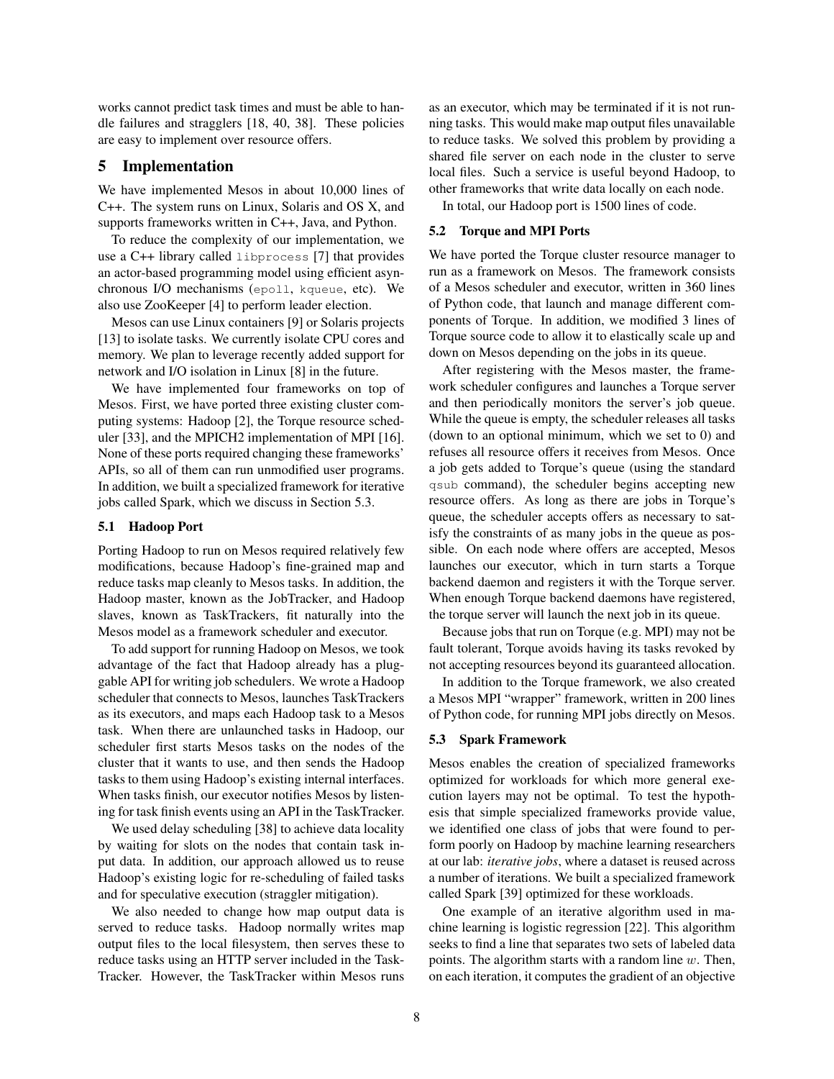works cannot predict task times and must be able to handle failures and stragglers [18, 40, 38]. These policies are easy to implement over resource offers.

# 5 Implementation

We have implemented Mesos in about 10,000 lines of C++. The system runs on Linux, Solaris and OS X, and supports frameworks written in C++, Java, and Python.

To reduce the complexity of our implementation, we use a C++ library called libprocess [7] that provides an actor-based programming model using efficient asynchronous I/O mechanisms (epoll, kqueue, etc). We also use ZooKeeper [4] to perform leader election.

Mesos can use Linux containers [9] or Solaris projects [13] to isolate tasks. We currently isolate CPU cores and memory. We plan to leverage recently added support for network and I/O isolation in Linux [8] in the future.

We have implemented four frameworks on top of Mesos. First, we have ported three existing cluster computing systems: Hadoop [2], the Torque resource scheduler [33], and the MPICH2 implementation of MPI [16]. None of these ports required changing these frameworks' APIs, so all of them can run unmodified user programs. In addition, we built a specialized framework for iterative jobs called Spark, which we discuss in Section 5.3.

#### 5.1 Hadoop Port

Porting Hadoop to run on Mesos required relatively few modifications, because Hadoop's fine-grained map and reduce tasks map cleanly to Mesos tasks. In addition, the Hadoop master, known as the JobTracker, and Hadoop slaves, known as TaskTrackers, fit naturally into the Mesos model as a framework scheduler and executor.

To add support for running Hadoop on Mesos, we took advantage of the fact that Hadoop already has a pluggable API for writing job schedulers. We wrote a Hadoop scheduler that connects to Mesos, launches TaskTrackers as its executors, and maps each Hadoop task to a Mesos task. When there are unlaunched tasks in Hadoop, our scheduler first starts Mesos tasks on the nodes of the cluster that it wants to use, and then sends the Hadoop tasks to them using Hadoop's existing internal interfaces. When tasks finish, our executor notifies Mesos by listening for task finish events using an API in the TaskTracker.

We used delay scheduling [38] to achieve data locality by waiting for slots on the nodes that contain task input data. In addition, our approach allowed us to reuse Hadoop's existing logic for re-scheduling of failed tasks and for speculative execution (straggler mitigation).

We also needed to change how map output data is served to reduce tasks. Hadoop normally writes map output files to the local filesystem, then serves these to reduce tasks using an HTTP server included in the Task-Tracker. However, the TaskTracker within Mesos runs as an executor, which may be terminated if it is not running tasks. This would make map output files unavailable to reduce tasks. We solved this problem by providing a shared file server on each node in the cluster to serve local files. Such a service is useful beyond Hadoop, to other frameworks that write data locally on each node.

In total, our Hadoop port is 1500 lines of code.

## 5.2 Torque and MPI Ports

We have ported the Torque cluster resource manager to run as a framework on Mesos. The framework consists of a Mesos scheduler and executor, written in 360 lines of Python code, that launch and manage different components of Torque. In addition, we modified 3 lines of Torque source code to allow it to elastically scale up and down on Mesos depending on the jobs in its queue.

After registering with the Mesos master, the framework scheduler configures and launches a Torque server and then periodically monitors the server's job queue. While the queue is empty, the scheduler releases all tasks (down to an optional minimum, which we set to 0) and refuses all resource offers it receives from Mesos. Once a job gets added to Torque's queue (using the standard qsub command), the scheduler begins accepting new resource offers. As long as there are jobs in Torque's queue, the scheduler accepts offers as necessary to satisfy the constraints of as many jobs in the queue as possible. On each node where offers are accepted, Mesos launches our executor, which in turn starts a Torque backend daemon and registers it with the Torque server. When enough Torque backend daemons have registered, the torque server will launch the next job in its queue.

Because jobs that run on Torque (e.g. MPI) may not be fault tolerant, Torque avoids having its tasks revoked by not accepting resources beyond its guaranteed allocation.

In addition to the Torque framework, we also created a Mesos MPI "wrapper" framework, written in 200 lines of Python code, for running MPI jobs directly on Mesos.

#### 5.3 Spark Framework

Mesos enables the creation of specialized frameworks optimized for workloads for which more general execution layers may not be optimal. To test the hypothesis that simple specialized frameworks provide value, we identified one class of jobs that were found to perform poorly on Hadoop by machine learning researchers at our lab: *iterative jobs*, where a dataset is reused across a number of iterations. We built a specialized framework called Spark [39] optimized for these workloads.

One example of an iterative algorithm used in machine learning is logistic regression [22]. This algorithm seeks to find a line that separates two sets of labeled data points. The algorithm starts with a random line  $w$ . Then, on each iteration, it computes the gradient of an objective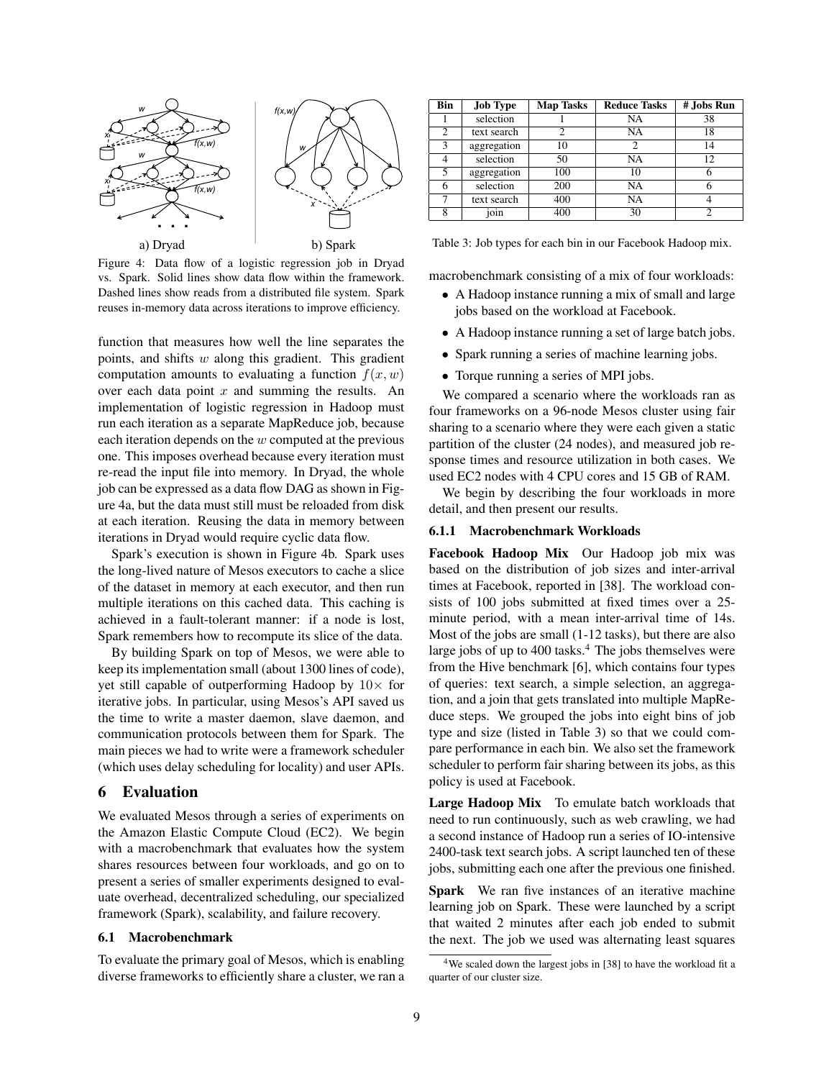

Figure 4: Data flow of a logistic regression job in Dryad vs. Spark. Solid lines show data flow within the framework. Dashed lines show reads from a distributed file system. Spark reuses in-memory data across iterations to improve efficiency.

function that measures how well the line separates the points, and shifts w along this gradient. This gradient computation amounts to evaluating a function  $f(x, w)$ over each data point  $x$  and summing the results. An implementation of logistic regression in Hadoop must run each iteration as a separate MapReduce job, because each iteration depends on the  $w$  computed at the previous one. This imposes overhead because every iteration must re-read the input file into memory. In Dryad, the whole job can be expressed as a data flow DAG as shown in Figure 4a, but the data must still must be reloaded from disk at each iteration. Reusing the data in memory between iterations in Dryad would require cyclic data flow.

Spark's execution is shown in Figure 4b. Spark uses the long-lived nature of Mesos executors to cache a slice of the dataset in memory at each executor, and then run multiple iterations on this cached data. This caching is achieved in a fault-tolerant manner: if a node is lost, Spark remembers how to recompute its slice of the data.

By building Spark on top of Mesos, we were able to keep its implementation small (about 1300 lines of code), yet still capable of outperforming Hadoop by  $10\times$  for iterative jobs. In particular, using Mesos's API saved us the time to write a master daemon, slave daemon, and communication protocols between them for Spark. The main pieces we had to write were a framework scheduler (which uses delay scheduling for locality) and user APIs.

# 6 Evaluation

We evaluated Mesos through a series of experiments on the Amazon Elastic Compute Cloud (EC2). We begin with a macrobenchmark that evaluates how the system shares resources between four workloads, and go on to present a series of smaller experiments designed to evaluate overhead, decentralized scheduling, our specialized framework (Spark), scalability, and failure recovery.

# 6.1 Macrobenchmark

To evaluate the primary goal of Mesos, which is enabling diverse frameworks to efficiently share a cluster, we ran a

| Bin | <b>Job Type</b> | <b>Map Tasks</b> | <b>Reduce Tasks</b> | # Jobs Run |
|-----|-----------------|------------------|---------------------|------------|
|     | selection       |                  | NA                  | 38         |
| 2   | text search     |                  | NA                  | 18         |
| 3   | aggregation     | 10               |                     | 14         |
|     | selection       | 50               | NA                  | 12         |
| 5   | aggregation     | 100              | 10                  |            |
|     | selection       | 200              | NA                  |            |
|     | text search     | 400              | NA                  |            |
|     | join            | 400              | 30                  |            |

Table 3: Job types for each bin in our Facebook Hadoop mix.

macrobenchmark consisting of a mix of four workloads:

- A Hadoop instance running a mix of small and large jobs based on the workload at Facebook.
- A Hadoop instance running a set of large batch jobs.
- Spark running a series of machine learning jobs.
- Torque running a series of MPI jobs.

We compared a scenario where the workloads ran as four frameworks on a 96-node Mesos cluster using fair sharing to a scenario where they were each given a static partition of the cluster (24 nodes), and measured job response times and resource utilization in both cases. We used EC2 nodes with 4 CPU cores and 15 GB of RAM.

We begin by describing the four workloads in more detail, and then present our results.

### 6.1.1 Macrobenchmark Workloads

Facebook Hadoop Mix Our Hadoop job mix was based on the distribution of job sizes and inter-arrival times at Facebook, reported in [38]. The workload consists of 100 jobs submitted at fixed times over a 25 minute period, with a mean inter-arrival time of 14s. Most of the jobs are small (1-12 tasks), but there are also large jobs of up to  $400$  tasks.<sup>4</sup> The jobs themselves were from the Hive benchmark [6], which contains four types of queries: text search, a simple selection, an aggregation, and a join that gets translated into multiple MapReduce steps. We grouped the jobs into eight bins of job type and size (listed in Table 3) so that we could compare performance in each bin. We also set the framework scheduler to perform fair sharing between its jobs, as this policy is used at Facebook.

Large Hadoop Mix To emulate batch workloads that need to run continuously, such as web crawling, we had a second instance of Hadoop run a series of IO-intensive 2400-task text search jobs. A script launched ten of these jobs, submitting each one after the previous one finished.

Spark We ran five instances of an iterative machine learning job on Spark. These were launched by a script that waited 2 minutes after each job ended to submit the next. The job we used was alternating least squares

<sup>&</sup>lt;sup>4</sup>We scaled down the largest jobs in [38] to have the workload fit a quarter of our cluster size.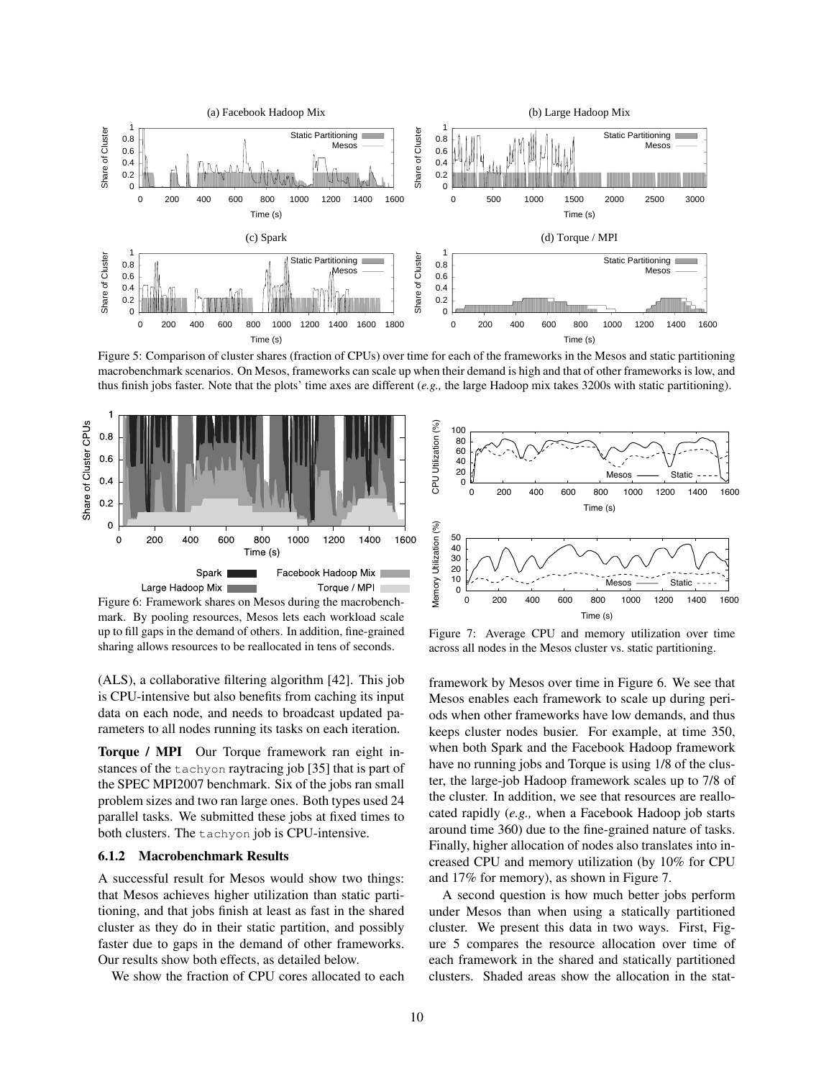

Figure 5: Comparison of cluster shares (fraction of CPUs) over time for each of the frameworks in the Mesos and static partitioning macrobenchmark scenarios. On Mesos, frameworks can scale up when their demand is high and that of other frameworks is low, and thus finish jobs faster. Note that the plots' time axes are different (*e.g.,* the large Hadoop mix takes 3200s with static partitioning).



Figure 6: Framework shares on Mesos during the macrobenchmark. By pooling resources, Mesos lets each workload scale up to fill gaps in the demand of others. In addition, fine-grained sharing allows resources to be reallocated in tens of seconds.

(ALS), a collaborative filtering algorithm [42]. This job is CPU-intensive but also benefits from caching its input data on each node, and needs to broadcast updated parameters to all nodes running its tasks on each iteration.

Torque / MPI Our Torque framework ran eight instances of the tachyon raytracing job [35] that is part of the SPEC MPI2007 benchmark. Six of the jobs ran small problem sizes and two ran large ones. Both types used 24 parallel tasks. We submitted these jobs at fixed times to both clusters. The tachyon job is CPU-intensive.

# 6.1.2 Macrobenchmark Results

A successful result for Mesos would show two things: that Mesos achieves higher utilization than static partitioning, and that jobs finish at least as fast in the shared cluster as they do in their static partition, and possibly faster due to gaps in the demand of other frameworks. Our results show both effects, as detailed below.

We show the fraction of CPU cores allocated to each



Figure 7: Average CPU and memory utilization over time across all nodes in the Mesos cluster vs. static partitioning.

framework by Mesos over time in Figure 6. We see that Mesos enables each framework to scale up during periods when other frameworks have low demands, and thus keeps cluster nodes busier. For example, at time 350, when both Spark and the Facebook Hadoop framework have no running jobs and Torque is using 1/8 of the cluster, the large-job Hadoop framework scales up to 7/8 of the cluster. In addition, we see that resources are reallocated rapidly (*e.g.,* when a Facebook Hadoop job starts around time 360) due to the fine-grained nature of tasks. Finally, higher allocation of nodes also translates into increased CPU and memory utilization (by 10% for CPU and 17% for memory), as shown in Figure 7.

A second question is how much better jobs perform under Mesos than when using a statically partitioned cluster. We present this data in two ways. First, Figure 5 compares the resource allocation over time of each framework in the shared and statically partitioned clusters. Shaded areas show the allocation in the stat-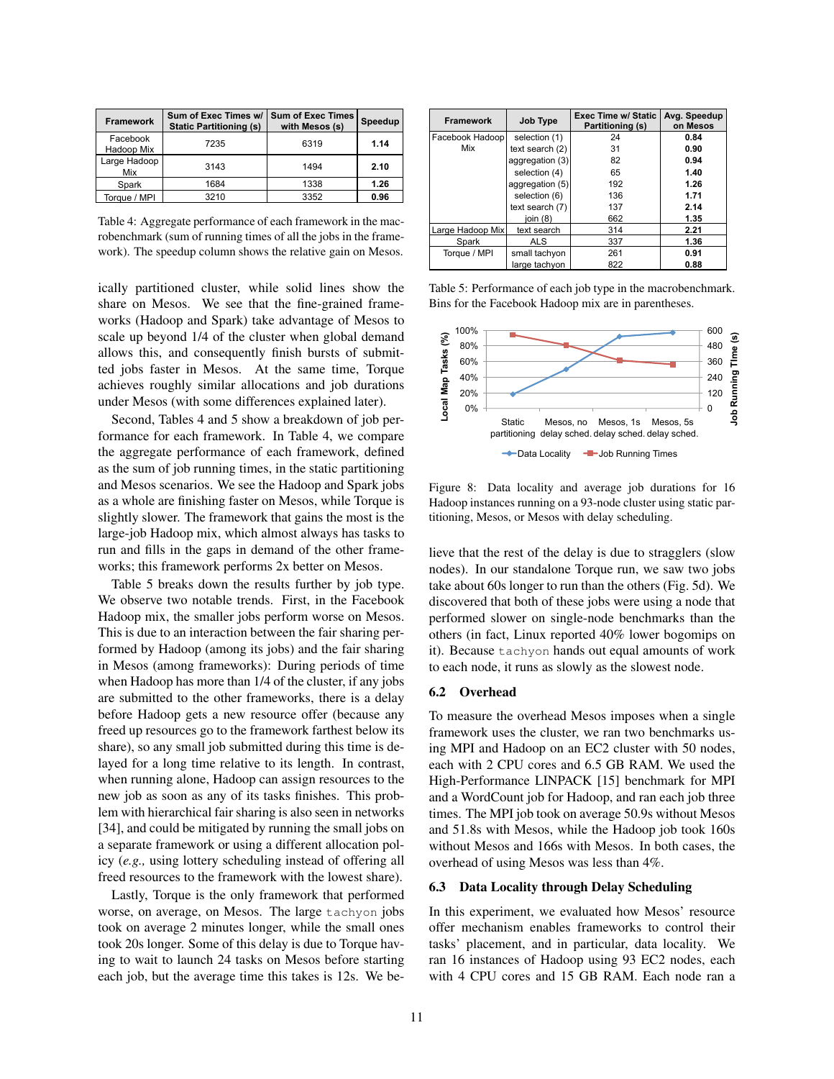| <b>Framework</b>       | Sum of Exec Times w/<br><b>Static Partitioning (s)</b> | <b>Sum of Exec Times</b><br>with Mesos (s) | Speedup |
|------------------------|--------------------------------------------------------|--------------------------------------------|---------|
| Facebook<br>Hadoop Mix | 7235                                                   | 6319                                       | 1.14    |
| Large Hadoop<br>Mix    | 3143                                                   | 1494                                       | 2.10    |
| Spark                  | 1684                                                   | 1338                                       | 1.26    |
| Torque / MPI           | 3210                                                   | 3352                                       | 0.96    |

Table 4: Aggregate performance of each framework in the macrobenchmark (sum of running times of all the jobs in the framework). The speedup column shows the relative gain on Mesos.

ically partitioned cluster, while solid lines show the share on Mesos. We see that the fine-grained frameworks (Hadoop and Spark) take advantage of Mesos to scale up beyond 1/4 of the cluster when global demand allows this, and consequently finish bursts of submitted jobs faster in Mesos. At the same time, Torque achieves roughly similar allocations and job durations under Mesos (with some differences explained later).

Second, Tables 4 and 5 show a breakdown of job performance for each framework. In Table 4, we compare the aggregate performance of each framework, defined as the sum of job running times, in the static partitioning and Mesos scenarios. We see the Hadoop and Spark jobs as a whole are finishing faster on Mesos, while Torque is slightly slower. The framework that gains the most is the large-job Hadoop mix, which almost always has tasks to run and fills in the gaps in demand of the other frameworks; this framework performs 2x better on Mesos.

Table 5 breaks down the results further by job type. We observe two notable trends. First, in the Facebook Hadoop mix, the smaller jobs perform worse on Mesos. This is due to an interaction between the fair sharing performed by Hadoop (among its jobs) and the fair sharing in Mesos (among frameworks): During periods of time when Hadoop has more than 1/4 of the cluster, if any jobs are submitted to the other frameworks, there is a delay before Hadoop gets a new resource offer (because any freed up resources go to the framework farthest below its share), so any small job submitted during this time is delayed for a long time relative to its length. In contrast, when running alone, Hadoop can assign resources to the new job as soon as any of its tasks finishes. This problem with hierarchical fair sharing is also seen in networks [34], and could be mitigated by running the small jobs on a separate framework or using a different allocation policy (*e.g.,* using lottery scheduling instead of offering all freed resources to the framework with the lowest share).

Lastly, Torque is the only framework that performed worse, on average, on Mesos. The large tachyon jobs took on average 2 minutes longer, while the small ones took 20s longer. Some of this delay is due to Torque having to wait to launch 24 tasks on Mesos before starting each job, but the average time this takes is 12s. We be-

| <b>Framework</b> | <b>Job Type</b> | Exec Time w/ Static<br>Partitioning (s) | Avg. Speedup<br>on Mesos |
|------------------|-----------------|-----------------------------------------|--------------------------|
| Facebook Hadoop  | selection (1)   | 24                                      | 0.84                     |
| Mix              | text search (2) | 31                                      | 0.90                     |
|                  | aggregation (3) | 82                                      | 0.94                     |
|                  | selection (4)   | 65                                      | 1.40                     |
|                  | aggregation (5) | 192                                     | 1.26                     |
|                  | selection (6)   | 136                                     | 1.71                     |
|                  | text search (7) | 137                                     | 2.14                     |
|                  | join (8)        | 662                                     | 1.35                     |
| Large Hadoop Mix | text search     | 314                                     | 2.21                     |
| Spark            | <b>ALS</b>      | 337                                     | 1.36                     |
| Torque / MPI     | small tachyon   | 261                                     | 0.91                     |
|                  | large tachyon   | 822                                     | 0.88                     |

Table 5: Performance of each job type in the macrobenchmark. Bins for the Facebook Hadoop mix are in parentheses.



Figure 8: Data locality and average job durations for 16 Hadoop instances running on a 93-node cluster using static partitioning, Mesos, or Mesos with delay scheduling.

lieve that the rest of the delay is due to stragglers (slow nodes). In our standalone Torque run, we saw two jobs take about 60s longer to run than the others (Fig. 5d). We discovered that both of these jobs were using a node that performed slower on single-node benchmarks than the others (in fact, Linux reported 40% lower bogomips on it). Because tachyon hands out equal amounts of work to each node, it runs as slowly as the slowest node.

#### 6.2 Overhead

To measure the overhead Mesos imposes when a single framework uses the cluster, we ran two benchmarks using MPI and Hadoop on an EC2 cluster with 50 nodes, each with 2 CPU cores and 6.5 GB RAM. We used the High-Performance LINPACK [15] benchmark for MPI and a WordCount job for Hadoop, and ran each job three times. The MPI job took on average 50.9s without Mesos and 51.8s with Mesos, while the Hadoop job took 160s without Mesos and 166s with Mesos. In both cases, the overhead of using Mesos was less than 4%.

#### 6.3 Data Locality through Delay Scheduling

In this experiment, we evaluated how Mesos' resource offer mechanism enables frameworks to control their tasks' placement, and in particular, data locality. We ran 16 instances of Hadoop using 93 EC2 nodes, each with 4 CPU cores and 15 GB RAM. Each node ran a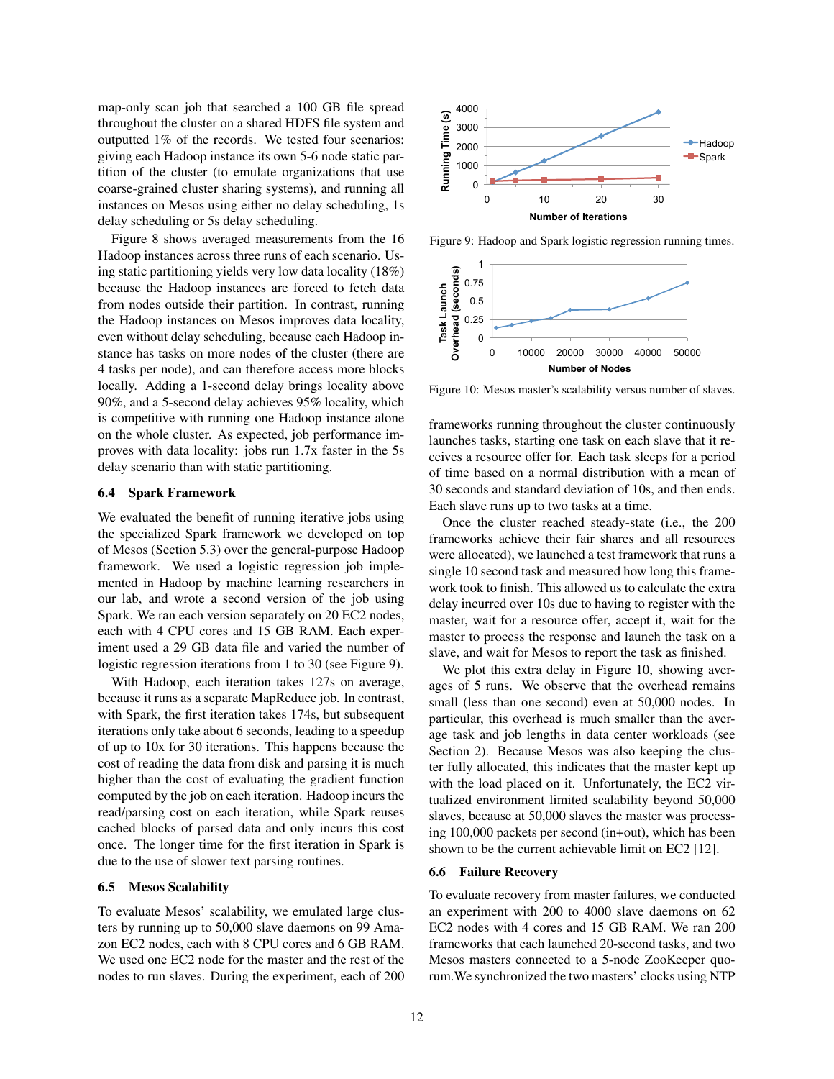map-only scan job that searched a 100 GB file spread throughout the cluster on a shared HDFS file system and outputted 1% of the records. We tested four scenarios: giving each Hadoop instance its own 5-6 node static partition of the cluster (to emulate organizations that use coarse-grained cluster sharing systems), and running all instances on Mesos using either no delay scheduling, 1s delay scheduling or 5s delay scheduling.

Figure 8 shows averaged measurements from the 16 Hadoop instances across three runs of each scenario. Using static partitioning yields very low data locality (18%) because the Hadoop instances are forced to fetch data from nodes outside their partition. In contrast, running the Hadoop instances on Mesos improves data locality, even without delay scheduling, because each Hadoop instance has tasks on more nodes of the cluster (there are 4 tasks per node), and can therefore access more blocks locally. Adding a 1-second delay brings locality above 90%, and a 5-second delay achieves 95% locality, which is competitive with running one Hadoop instance alone on the whole cluster. As expected, job performance improves with data locality: jobs run 1.7x faster in the 5s delay scenario than with static partitioning.

## 6.4 Spark Framework

We evaluated the benefit of running iterative jobs using the specialized Spark framework we developed on top of Mesos (Section 5.3) over the general-purpose Hadoop framework. We used a logistic regression job implemented in Hadoop by machine learning researchers in our lab, and wrote a second version of the job using Spark. We ran each version separately on 20 EC2 nodes, each with 4 CPU cores and 15 GB RAM. Each experiment used a 29 GB data file and varied the number of logistic regression iterations from 1 to 30 (see Figure 9).

With Hadoop, each iteration takes 127s on average, because it runs as a separate MapReduce job. In contrast, with Spark, the first iteration takes 174s, but subsequent iterations only take about 6 seconds, leading to a speedup of up to 10x for 30 iterations. This happens because the cost of reading the data from disk and parsing it is much higher than the cost of evaluating the gradient function computed by the job on each iteration. Hadoop incurs the read/parsing cost on each iteration, while Spark reuses cached blocks of parsed data and only incurs this cost once. The longer time for the first iteration in Spark is due to the use of slower text parsing routines.

#### 6.5 Mesos Scalability

To evaluate Mesos' scalability, we emulated large clusters by running up to 50,000 slave daemons on 99 Amazon EC2 nodes, each with 8 CPU cores and 6 GB RAM. We used one EC2 node for the master and the rest of the nodes to run slaves. During the experiment, each of 200



Figure 9: Hadoop and Spark logistic regression running times.



Figure 10: Mesos master's scalability versus number of slaves.

frameworks running throughout the cluster continuously launches tasks, starting one task on each slave that it receives a resource offer for. Each task sleeps for a period of time based on a normal distribution with a mean of 30 seconds and standard deviation of 10s, and then ends. Each slave runs up to two tasks at a time.

Once the cluster reached steady-state (i.e., the 200 frameworks achieve their fair shares and all resources were allocated), we launched a test framework that runs a single 10 second task and measured how long this framework took to finish. This allowed us to calculate the extra delay incurred over 10s due to having to register with the master, wait for a resource offer, accept it, wait for the master to process the response and launch the task on a slave, and wait for Mesos to report the task as finished.

We plot this extra delay in Figure 10, showing averages of 5 runs. We observe that the overhead remains small (less than one second) even at 50,000 nodes. In particular, this overhead is much smaller than the average task and job lengths in data center workloads (see Section 2). Because Mesos was also keeping the cluster fully allocated, this indicates that the master kept up with the load placed on it. Unfortunately, the EC2 virtualized environment limited scalability beyond 50,000 slaves, because at 50,000 slaves the master was processing 100,000 packets per second (in+out), which has been shown to be the current achievable limit on EC2 [12].

#### 6.6 Failure Recovery

To evaluate recovery from master failures, we conducted an experiment with 200 to 4000 slave daemons on 62 EC2 nodes with 4 cores and 15 GB RAM. We ran 200 frameworks that each launched 20-second tasks, and two Mesos masters connected to a 5-node ZooKeeper quorum.We synchronized the two masters' clocks using NTP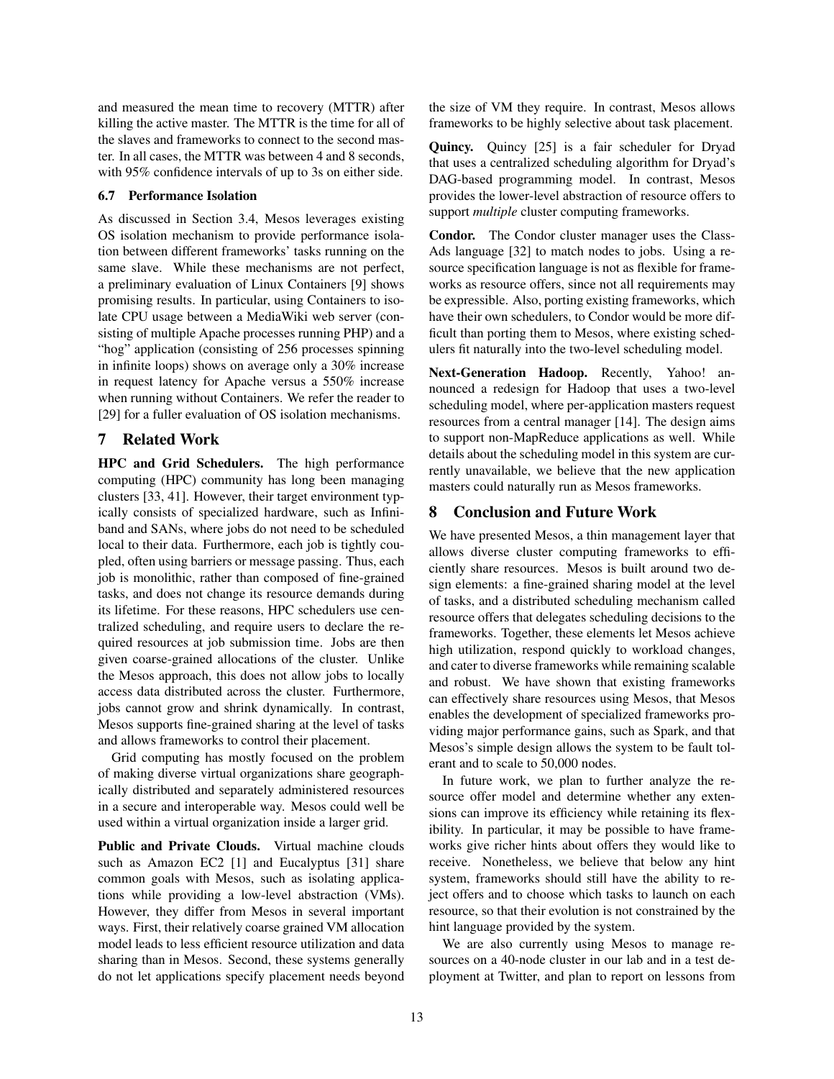and measured the mean time to recovery (MTTR) after killing the active master. The MTTR is the time for all of the slaves and frameworks to connect to the second master. In all cases, the MTTR was between 4 and 8 seconds, with 95% confidence intervals of up to 3s on either side.

### 6.7 Performance Isolation

As discussed in Section 3.4, Mesos leverages existing OS isolation mechanism to provide performance isolation between different frameworks' tasks running on the same slave. While these mechanisms are not perfect, a preliminary evaluation of Linux Containers [9] shows promising results. In particular, using Containers to isolate CPU usage between a MediaWiki web server (consisting of multiple Apache processes running PHP) and a "hog" application (consisting of 256 processes spinning in infinite loops) shows on average only a 30% increase in request latency for Apache versus a 550% increase when running without Containers. We refer the reader to [29] for a fuller evaluation of OS isolation mechanisms.

# 7 Related Work

HPC and Grid Schedulers. The high performance computing (HPC) community has long been managing clusters [33, 41]. However, their target environment typically consists of specialized hardware, such as Infiniband and SANs, where jobs do not need to be scheduled local to their data. Furthermore, each job is tightly coupled, often using barriers or message passing. Thus, each job is monolithic, rather than composed of fine-grained tasks, and does not change its resource demands during its lifetime. For these reasons, HPC schedulers use centralized scheduling, and require users to declare the required resources at job submission time. Jobs are then given coarse-grained allocations of the cluster. Unlike the Mesos approach, this does not allow jobs to locally access data distributed across the cluster. Furthermore, jobs cannot grow and shrink dynamically. In contrast, Mesos supports fine-grained sharing at the level of tasks and allows frameworks to control their placement.

Grid computing has mostly focused on the problem of making diverse virtual organizations share geographically distributed and separately administered resources in a secure and interoperable way. Mesos could well be used within a virtual organization inside a larger grid.

Public and Private Clouds. Virtual machine clouds such as Amazon EC2 [1] and Eucalyptus [31] share common goals with Mesos, such as isolating applications while providing a low-level abstraction (VMs). However, they differ from Mesos in several important ways. First, their relatively coarse grained VM allocation model leads to less efficient resource utilization and data sharing than in Mesos. Second, these systems generally do not let applications specify placement needs beyond the size of VM they require. In contrast, Mesos allows frameworks to be highly selective about task placement.

Quincy. Quincy [25] is a fair scheduler for Dryad that uses a centralized scheduling algorithm for Dryad's DAG-based programming model. In contrast, Mesos provides the lower-level abstraction of resource offers to support *multiple* cluster computing frameworks.

Condor. The Condor cluster manager uses the Class-Ads language [32] to match nodes to jobs. Using a resource specification language is not as flexible for frameworks as resource offers, since not all requirements may be expressible. Also, porting existing frameworks, which have their own schedulers, to Condor would be more difficult than porting them to Mesos, where existing schedulers fit naturally into the two-level scheduling model.

Next-Generation Hadoop. Recently, Yahoo! announced a redesign for Hadoop that uses a two-level scheduling model, where per-application masters request resources from a central manager [14]. The design aims to support non-MapReduce applications as well. While details about the scheduling model in this system are currently unavailable, we believe that the new application masters could naturally run as Mesos frameworks.

# 8 Conclusion and Future Work

We have presented Mesos, a thin management layer that allows diverse cluster computing frameworks to efficiently share resources. Mesos is built around two design elements: a fine-grained sharing model at the level of tasks, and a distributed scheduling mechanism called resource offers that delegates scheduling decisions to the frameworks. Together, these elements let Mesos achieve high utilization, respond quickly to workload changes, and cater to diverse frameworks while remaining scalable and robust. We have shown that existing frameworks can effectively share resources using Mesos, that Mesos enables the development of specialized frameworks providing major performance gains, such as Spark, and that Mesos's simple design allows the system to be fault tolerant and to scale to 50,000 nodes.

In future work, we plan to further analyze the resource offer model and determine whether any extensions can improve its efficiency while retaining its flexibility. In particular, it may be possible to have frameworks give richer hints about offers they would like to receive. Nonetheless, we believe that below any hint system, frameworks should still have the ability to reject offers and to choose which tasks to launch on each resource, so that their evolution is not constrained by the hint language provided by the system.

We are also currently using Mesos to manage resources on a 40-node cluster in our lab and in a test deployment at Twitter, and plan to report on lessons from